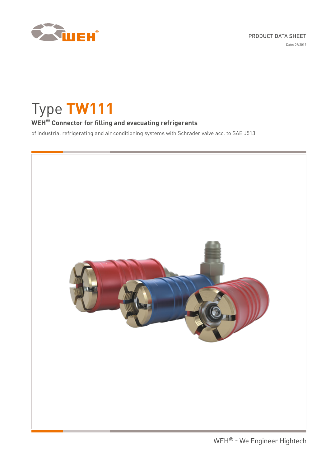

Date: 09/2019

# Type **TW111**

# **WEH® Connector for filling and evacuating refrigerants**

of industrial refrigerating and air conditioning systems with Schrader valve acc. to SAE J513

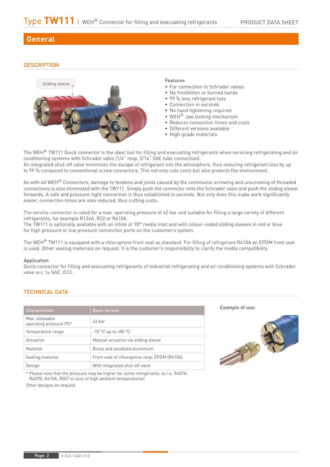# **General**

## **DESCRIPTION**



#### Features

- For connection to Schrader valves
- No frostbitten or burned hands
- 99 % less refrigerant loss
- Connection in seconds
- No hand tightening required
- WEH® Jaw locking mechanism
- Reduces connection times and costs
- Different versions available
- High-grade materials

The WEH<sup>®</sup> TW111 Quick connector is the ideal tool for filling and evacuating refrigerants when servicing refrigerating and air conditioning systems with Schrader valve (1/4" resp. 5/16" SAE tube connection).

An integrated shut-off valve minimizes the escape of refrigerant into the atmosphere, thus reducing refrigerant loss by up to 99 % compared to conventional screw connectors. This not only cuts costs but also protects the environment.

As with all WEH® Connectors, damage to tendons and joints caused by the continuous screwing and unscrewing of threaded connections is also eliminated with the TW111. Simply push the connector onto the Schrader valve and push the sliding sleeve forwards. A safe and pressure-tight connection is thus established in seconds. Not only does this make work significantly easier, connection times are also reduced, thus cutting costs.

The service connector is rated for a max. operating pressure of 42 bar and suitable for filling a large variety of different refrigerants, for example R134A, R22 or R410A.

The TW111 is optionally available with an inline or 90° media inlet and with colour-coded sliding sleeves in red or blue for high pressure or low pressure connection ports on the customer's system.

The WEH<sup>®</sup> TW111 is equipped with a chloroprene front seal as standard. For filling of refrigerant R410A an EPDM front seal is used. Other sealing materials on request. It is the customer's responsibility to clarify the media compatibility.

#### **Annlication**

Quick connector for filling and evacuating refrigerants of industrial refrigerating and air conditioning systems with Schrader valve acc. to SAE J513.

#### TECHNICAL DATA

| Characteristic                           | <b>Basic version</b>                         |
|------------------------------------------|----------------------------------------------|
| Max. allowable<br>operating pressure PS* | $42$ har                                     |
| Temperature range                        | $-10$ °C up to $+80$ °C                      |
| Actuation                                | Manual actuation via sliding sleeve          |
| Material                                 | Brass and anodized aluminium                 |
| Sealing material                         | Front seal of chloroprene resp. EPDM (R410A) |
| Design                                   | With integrated shut-off valve               |

Example of use:



\* Please note that the pressure may be higher for some refrigerants, as i.e. R407A, R407B, R410A, R507 in case of high ambient temperatures!

Other designs on request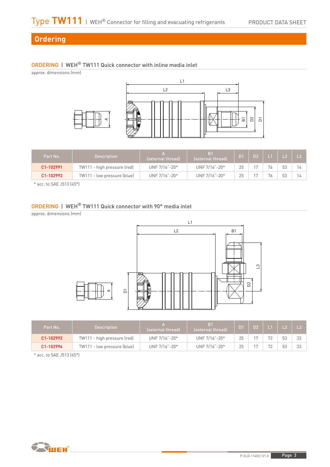# **Ordering**

# ORDERING | WEH® TW111 Quick connector with inline media inlet

approx. dimensions (mm)



| Part No.  | <b>Description</b>          | (external thread) | B <sub>1</sub><br>(external thread) | $\Gamma$ |                |    |  |
|-----------|-----------------------------|-------------------|-------------------------------------|----------|----------------|----|--|
| C1-102991 | TW111 - high pressure (red) | UNF 7/16"-20*     | UNF 7/16"-20*                       |          |                | いつ |  |
| C1-102993 | TW111 - low pressure (blue) | UNF 7/16"-20*     | UNF 7/16"-20*                       |          | $\overline{ }$ | 52 |  |

\* acc. to SAE J513 (45°)

# ORDERING | WEH® TW111 Quick connector with 90° media inlet

approx. dimensions (mm)



| Part No.  | <b>Description</b>          | (external thread) | B <sub>1</sub><br>lexternal thread) | /D1 | $\Gamma$ |          |    |    |
|-----------|-----------------------------|-------------------|-------------------------------------|-----|----------|----------|----|----|
| C1-102992 | TW111 - high pressure (red) | UNF 7/16"-20*     | UNF 7/16"-20*                       |     |          |          | 53 | ささ |
| C1-102994 | TW111 - low pressure (blue) | UNF 7/16"-20*     | UNF 7/16"-20*                       |     |          | $\Gamma$ | 53 | 33 |

\* acc. to SAE J513 (45°)

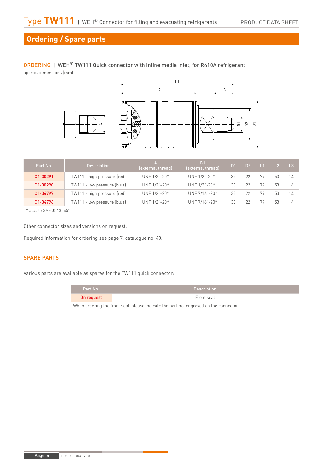# **Ordering / Spare parts**

## ORDERING | WEH® TW111 Quick connector with inline media inlet, for R410A refrigerant

approx. dimensions (mm)





| Part No. | <b>Description</b>          | (external thread) | B <sub>1</sub><br>(external thread) | D <sub>1</sub> | <b>D2</b> |    | L <sub>2</sub> | L3 |
|----------|-----------------------------|-------------------|-------------------------------------|----------------|-----------|----|----------------|----|
| C1-30291 | TW111 - high pressure (red) | UNF 1/2"-20*      | UNF 1/2"-20*                        | 33             | 22        | 79 | 53             | 14 |
| C1-30290 | TW111 - low pressure (blue) | UNF 1/2"-20*      | UNF 1/2"-20*                        | 33             | 22        | 70 | 53             | 14 |
| C1-34797 | TW111 - high pressure (red) | UNF 1/2"-20*      | UNF 7/16"-20*                       | 33             | 22        | 79 | 53             | 14 |
| C1-34796 | TW111 - low pressure (blue) | UNF 1/2"-20*      | UNF 7/16"-20*                       | 33             | 22        | 79 | 53             | 14 |

\* acc. to SAE J513 (45°)

Other connector sizes and versions on request.

Required information for ordering see page 7, catalogue no. 40.

## SPARE PARTS

Various parts are available as spares for the TW111 quick connector:

| Part No.   | Description |
|------------|-------------|
| On request | Front seal  |

When ordering the front seal, please indicate the part no. engraved on the connector.